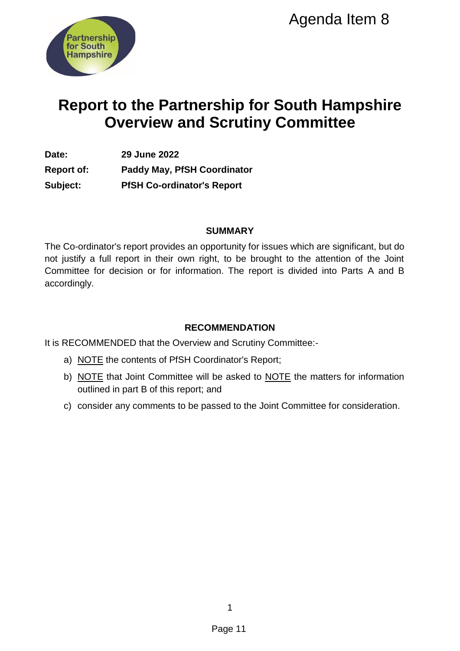

# **Report to the Partnership for South Hampshire Overview and Scrutiny Committee**

**Date: 29 June 2022 Report of: Paddy May, PfSH Coordinator Subject: PfSH Co-ordinator's Report** 

#### **SUMMARY**

The Co-ordinator's report provides an opportunity for issues which are significant, but do not justify a full report in their own right, to be brought to the attention of the Joint Committee for decision or for information. The report is divided into Parts A and B accordingly. Agenda Item 8<br>
Ship for South Hampshin<br>
Scrutiny Committee<br>
ordinator<br>
Neport<br>
UMMARY<br>
UMMARY<br>
UMMENDATION<br>
t, t, to be brought to the attention of the J<br>
t, t, to be brought to the attention of the J<br>
n. The report is div

# **RECOMMENDATION**

It is RECOMMENDED that the Overview and Scrutiny Committee:-

- a) NOTE the contents of PfSH Coordinator's Report;
- b) NOTE that Joint Committee will be asked to NOTE the matters for information outlined in part B of this report; and
- c) consider any comments to be passed to the Joint Committee for consideration.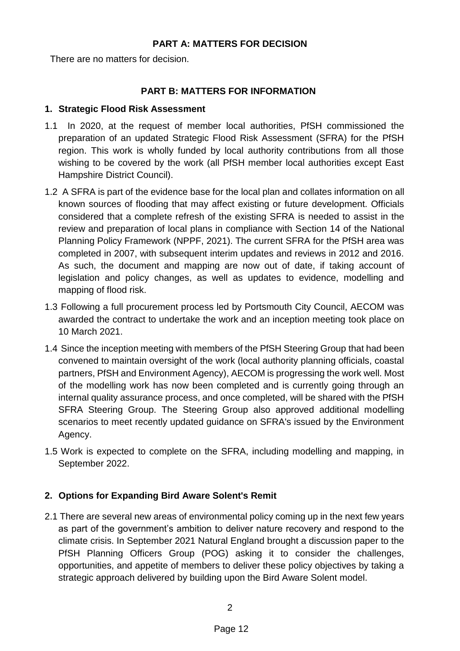#### **PART A: MATTERS FOR DECISION**

There are no matters for decision.

## **PART B: MATTERS FOR INFORMATION**

### **1. Strategic Flood Risk Assessment**

- 1.1 In 2020, at the request of member local authorities, PfSH commissioned the preparation of an updated Strategic Flood Risk Assessment (SFRA) for the PfSH region. This work is wholly funded by local authority contributions from all those wishing to be covered by the work (all PfSH member local authorities except East Hampshire District Council).
- 1.2 A SFRA is part of the evidence base for the local plan and collates information on all known sources of flooding that may affect existing or future development. Officials considered that a complete refresh of the existing SFRA is needed to assist in the review and preparation of local plans in compliance with Section 14 of the National Planning Policy Framework (NPPF, 2021). The current SFRA for the PfSH area was completed in 2007, with subsequent interim updates and reviews in 2012 and 2016. As such, the document and mapping are now out of date, if taking account of legislation and policy changes, as well as updates to evidence, modelling and mapping of flood risk.
- 1.3 Following a full procurement process led by Portsmouth City Council, AECOM was awarded the contract to undertake the work and an inception meeting took place on 10 March 2021.
- 1.4 Since the inception meeting with members of the PfSH Steering Group that had been convened to maintain oversight of the work (local authority planning officials, coastal partners, PfSH and Environment Agency), AECOM is progressing the work well. Most of the modelling work has now been completed and is currently going through an internal quality assurance process, and once completed, will be shared with the PfSH SFRA Steering Group. The Steering Group also approved additional modelling scenarios to meet recently updated guidance on SFRA's issued by the Environment Agency.
- 1.5 Work is expected to complete on the SFRA, including modelling and mapping, in September 2022.

# **2. Options for Expanding Bird Aware Solent's Remit**

2.1 There are several new areas of environmental policy coming up in the next few years as part of the government's ambition to deliver nature recovery and respond to the climate crisis. In September 2021 Natural England brought a discussion paper to the PfSH Planning Officers Group (POG) asking it to consider the challenges, opportunities, and appetite of members to deliver these policy objectives by taking a strategic approach delivered by building upon the Bird Aware Solent model.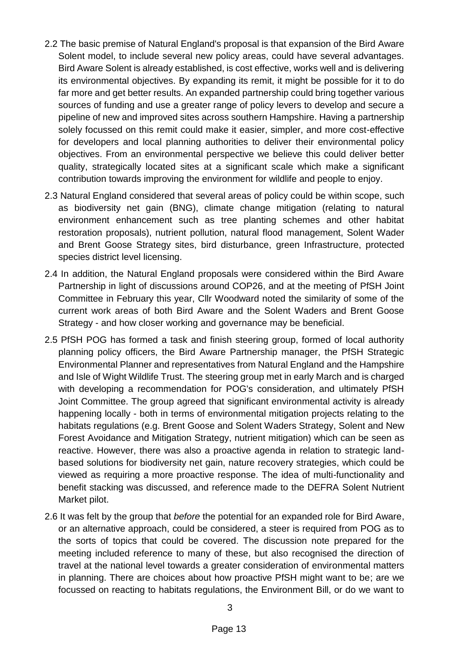- 2.2 The basic premise of Natural England's proposal is that expansion of the Bird Aware Solent model, to include several new policy areas, could have several advantages. Bird Aware Solent is already established, is cost effective, works well and is delivering its environmental objectives. By expanding its remit, it might be possible for it to do far more and get better results. An expanded partnership could bring together various sources of funding and use a greater range of policy levers to develop and secure a pipeline of new and improved sites across southern Hampshire. Having a partnership solely focussed on this remit could make it easier, simpler, and more cost-effective for developers and local planning authorities to deliver their environmental policy objectives. From an environmental perspective we believe this could deliver better quality, strategically located sites at a significant scale which make a significant contribution towards improving the environment for wildlife and people to enjoy.
- 2.3 Natural England considered that several areas of policy could be within scope, such as biodiversity net gain (BNG), climate change mitigation (relating to natural environment enhancement such as tree planting schemes and other habitat restoration proposals), nutrient pollution, natural flood management, Solent Wader and Brent Goose Strategy sites, bird disturbance, green Infrastructure, protected species district level licensing.
- 2.4 In addition, the Natural England proposals were considered within the Bird Aware Partnership in light of discussions around COP26, and at the meeting of PfSH Joint Committee in February this year, Cllr Woodward noted the similarity of some of the current work areas of both Bird Aware and the Solent Waders and Brent Goose Strategy - and how closer working and governance may be beneficial.
- 2.5 PfSH POG has formed a task and finish steering group, formed of local authority planning policy officers, the Bird Aware Partnership manager, the PfSH Strategic Environmental Planner and representatives from Natural England and the Hampshire and Isle of Wight Wildlife Trust. The steering group met in early March and is charged with developing a recommendation for POG's consideration, and ultimately PfSH Joint Committee. The group agreed that significant environmental activity is already happening locally - both in terms of environmental mitigation projects relating to the habitats regulations (e.g. Brent Goose and Solent Waders Strategy, Solent and New Forest Avoidance and Mitigation Strategy, nutrient mitigation) which can be seen as reactive. However, there was also a proactive agenda in relation to strategic landbased solutions for biodiversity net gain, nature recovery strategies, which could be viewed as requiring a more proactive response. The idea of multi-functionality and benefit stacking was discussed, and reference made to the DEFRA Solent Nutrient Market pilot.
- 2.6 It was felt by the group that *before* the potential for an expanded role for Bird Aware, or an alternative approach, could be considered, a steer is required from POG as to the sorts of topics that could be covered. The discussion note prepared for the meeting included reference to many of these, but also recognised the direction of travel at the national level towards a greater consideration of environmental matters in planning. There are choices about how proactive PfSH might want to be; are we focussed on reacting to habitats regulations, the Environment Bill, or do we want to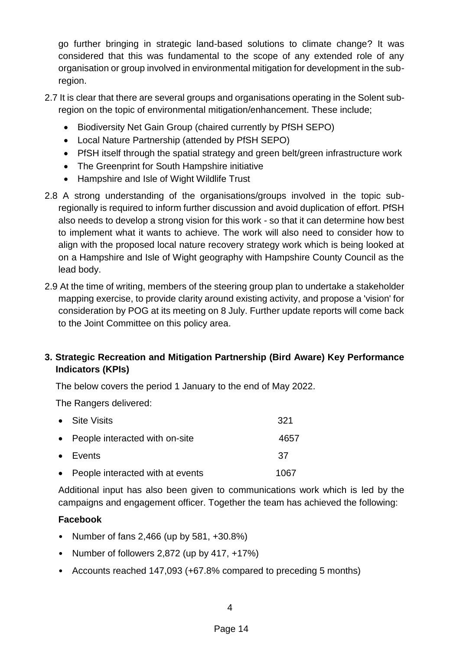go further bringing in strategic land-based solutions to climate change? It was considered that this was fundamental to the scope of any extended role of any organisation or group involved in environmental mitigation for development in the subregion.

- 2.7 It is clear that there are several groups and organisations operating in the Solent subregion on the topic of environmental mitigation/enhancement. These include;
	- Biodiversity Net Gain Group (chaired currently by PfSH SEPO)
	- Local Nature Partnership (attended by PfSH SEPO)
	- PfSH itself through the spatial strategy and green belt/green infrastructure work
	- The Greenprint for South Hampshire initiative
	- Hampshire and Isle of Wight Wildlife Trust
- 2.8 A strong understanding of the organisations/groups involved in the topic subregionally is required to inform further discussion and avoid duplication of effort. PfSH also needs to develop a strong vision for this work - so that it can determine how best to implement what it wants to achieve. The work will also need to consider how to align with the proposed local nature recovery strategy work which is being looked at on a Hampshire and Isle of Wight geography with Hampshire County Council as the lead body.
- 2.9 At the time of writing, members of the steering group plan to undertake a stakeholder mapping exercise, to provide clarity around existing activity, and propose a 'vision' for consideration by POG at its meeting on 8 July. Further update reports will come back to the Joint Committee on this policy area.

# **3. Strategic Recreation and Mitigation Partnership (Bird Aware) Key Performance Indicators (KPIs)**

The below covers the period 1 January to the end of May 2022.

The Rangers delivered:

| • Site Visits                      | 321  |
|------------------------------------|------|
| • People interacted with on-site   | 4657 |
| $\bullet$ Events                   | 37   |
| • People interacted with at events | 1067 |

Additional input has also been given to communications work which is led by the campaigns and engagement officer. Together the team has achieved the following:

# **Facebook**

- Number of fans 2,466 (up by 581, +30.8%)
- Number of followers 2,872 (up by 417, +17%)
- Accounts reached 147,093 (+67.8% compared to preceding 5 months)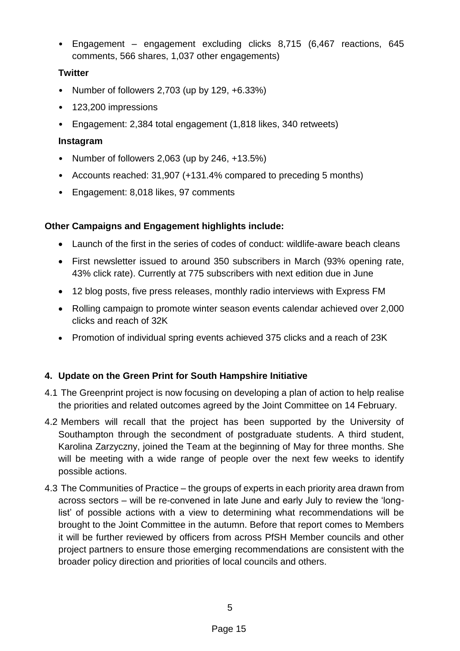• Engagement – engagement excluding clicks 8,715 (6,467 reactions, 645 comments, 566 shares, 1,037 other engagements)

## **Twitter**

- Number of followers 2,703 (up by 129, +6.33%)
- 123,200 impressions
- Engagement: 2,384 total engagement (1,818 likes, 340 retweets)

### **Instagram**

- Number of followers 2,063 (up by 246, +13.5%)
- Accounts reached: 31,907 (+131.4% compared to preceding 5 months)
- Engagement: 8,018 likes, 97 comments

## **Other Campaigns and Engagement highlights include:**

- Launch of the first in the series of codes of conduct: wildlife-aware beach cleans
- First newsletter issued to around 350 subscribers in March (93% opening rate, 43% click rate). Currently at 775 subscribers with next edition due in June
- 12 blog posts, five press releases, monthly radio interviews with Express FM
- Rolling campaign to promote winter season events calendar achieved over 2,000 clicks and reach of 32K
- Promotion of individual spring events achieved 375 clicks and a reach of 23K

# **4. Update on the Green Print for South Hampshire Initiative**

- 4.1 The Greenprint project is now focusing on developing a plan of action to help realise the priorities and related outcomes agreed by the Joint Committee on 14 February.
- 4.2 Members will recall that the project has been supported by the University of Southampton through the secondment of postgraduate students. A third student, Karolina Zarzyczny, joined the Team at the beginning of May for three months. She will be meeting with a wide range of people over the next few weeks to identify possible actions.
- 4.3 The Communities of Practice the groups of experts in each priority area drawn from across sectors – will be re-convened in late June and early July to review the 'longlist' of possible actions with a view to determining what recommendations will be brought to the Joint Committee in the autumn. Before that report comes to Members it will be further reviewed by officers from across PfSH Member councils and other project partners to ensure those emerging recommendations are consistent with the broader policy direction and priorities of local councils and others.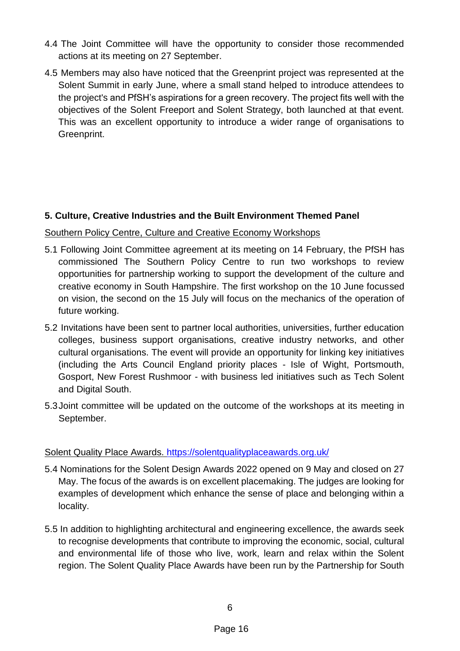- 4.4 The Joint Committee will have the opportunity to consider those recommended actions at its meeting on 27 September.
- 4.5 Members may also have noticed that the Greenprint project was represented at the Solent Summit in early June, where a small stand helped to introduce attendees to the project's and PfSH's aspirations for a green recovery. The project fits well with the objectives of the Solent Freeport and Solent Strategy, both launched at that event. This was an excellent opportunity to introduce a wider range of organisations to Greenprint.

## **5. Culture, Creative Industries and the Built Environment Themed Panel**

### Southern Policy Centre, Culture and Creative Economy Workshops

- 5.1 Following Joint Committee agreement at its meeting on 14 February, the PfSH has commissioned The Southern Policy Centre to run two workshops to review opportunities for partnership working to support the development of the culture and creative economy in South Hampshire. The first workshop on the 10 June focussed on vision, the second on the 15 July will focus on the mechanics of the operation of future working.
- 5.2 Invitations have been sent to partner local authorities, universities, further education colleges, business support organisations, creative industry networks, and other cultural organisations. The event will provide an opportunity for linking key initiatives (including the Arts Council England priority places - Isle of Wight, Portsmouth, Gosport, New Forest Rushmoor - with business led initiatives such as Tech Solent and Digital South.
- 5.3Joint committee will be updated on the outcome of the workshops at its meeting in September.

### Solent Quality Place Awards.<https://solentqualityplaceawards.org.uk/>

- 5.4 Nominations for the Solent Design Awards 2022 opened on 9 May and closed on 27 May. The focus of the awards is on excellent placemaking. The judges are looking for examples of development which enhance the sense of place and belonging within a locality.
- 5.5 In addition to highlighting architectural and engineering excellence, the awards seek to recognise developments that contribute to improving the economic, social, cultural and environmental life of those who live, work, learn and relax within the Solent region. The Solent Quality Place Awards have been run by the Partnership for South